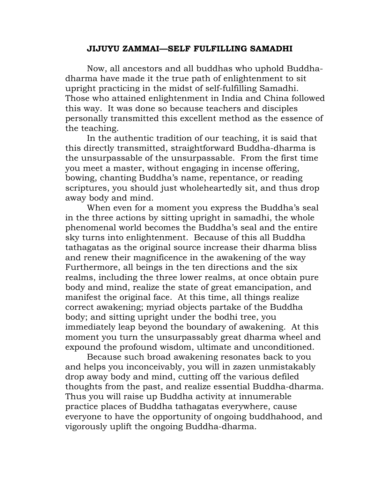## **JIJUYU ZAMMAI—SELF FULFILLING SAMADHI**

Now, all ancestors and all buddhas who uphold Buddhadharma have made it the true path of enlightenment to sit upright practicing in the midst of self-fulfilling Samadhi. Those who attained enlightenment in India and China followed this way. It was done so because teachers and disciples personally transmitted this excellent method as the essence of the teaching.

In the authentic tradition of our teaching, it is said that this directly transmitted, straightforward Buddha-dharma is the unsurpassable of the unsurpassable. From the first time you meet a master, without engaging in incense offering, bowing, chanting Buddha's name, repentance, or reading scriptures, you should just wholeheartedly sit, and thus drop away body and mind.

When even for a moment you express the Buddha's seal in the three actions by sitting upright in samadhi, the whole phenomenal world becomes the Buddha's seal and the entire sky turns into enlightenment. Because of this all Buddha tathagatas as the original source increase their dharma bliss and renew their magnificence in the awakening of the way Furthermore, all beings in the ten directions and the six realms, including the three lower realms, at once obtain pure body and mind, realize the state of great emancipation, and manifest the original face. At this time, all things realize correct awakening; myriad objects partake of the Buddha body; and sitting upright under the bodhi tree, you immediately leap beyond the boundary of awakening. At this moment you turn the unsurpassably great dharma wheel and expound the profound wisdom, ultimate and unconditioned.

Because such broad awakening resonates back to you and helps you inconceivably, you will in zazen unmistakably drop away body and mind, cutting off the various defiled thoughts from the past, and realize essential Buddha-dharma. Thus you will raise up Buddha activity at innumerable practice places of Buddha tathagatas everywhere, cause everyone to have the opportunity of ongoing buddhahood, and vigorously uplift the ongoing Buddha-dharma.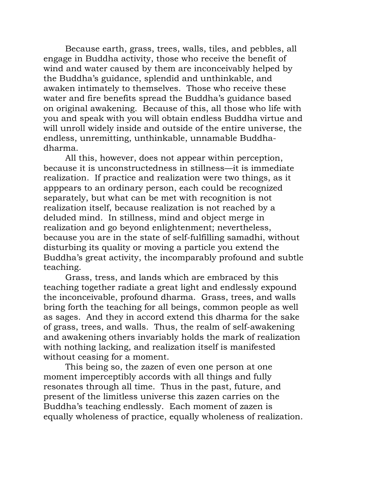Because earth, grass, trees, walls, tiles, and pebbles, all engage in Buddha activity, those who receive the benefit of wind and water caused by them are inconceivably helped by the Buddha's guidance, splendid and unthinkable, and awaken intimately to themselves. Those who receive these water and fire benefits spread the Buddha's guidance based on original awakening. Because of this, all those who life with you and speak with you will obtain endless Buddha virtue and will unroll widely inside and outside of the entire universe, the endless, unremitting, unthinkable, unnamable Buddhadharma.

All this, however, does not appear within perception, because it is unconstructedness in stillness—it is immediate realization. If practice and realization were two things, as it apppears to an ordinary person, each could be recognized separately, but what can be met with recognition is not realization itself, because realization is not reached by a deluded mind. In stillness, mind and object merge in realization and go beyond enlightenment; nevertheless, because you are in the state of self-fulfilling samadhi, without disturbing its quality or moving a particle you extend the Buddha's great activity, the incomparably profound and subtle teaching.

Grass, tress, and lands which are embraced by this teaching together radiate a great light and endlessly expound the inconceivable, profound dharma. Grass, trees, and walls bring forth the teaching for all beings, common people as well as sages. And they in accord extend this dharma for the sake of grass, trees, and walls. Thus, the realm of self-awakening and awakening others invariably holds the mark of realization with nothing lacking, and realization itself is manifested without ceasing for a moment.

This being so, the zazen of even one person at one moment imperceptibly accords with all things and fully resonates through all time. Thus in the past, future, and present of the limitless universe this zazen carries on the Buddha's teaching endlessly. Each moment of zazen is equally wholeness of practice, equally wholeness of realization.